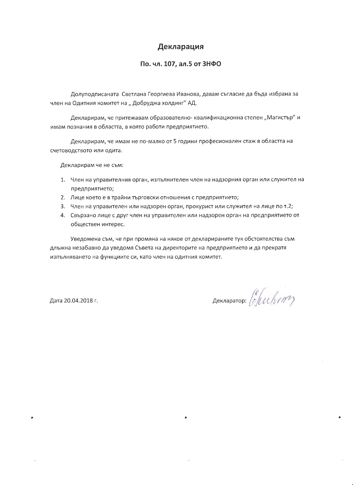# Декларация

#### По. чл. 107, ал.5 от ЗНФО

Долуподписаната Светлана Георгиева Иванова, давам съгласие да бъда избрана за член на Одитния комитет на "Добруджа холдинг" АД.

Декларирам, че притежавам образователно- квалификационна степен "Магистър" и имам познания в областта, в която работи предприятието.

Декларирам, че имам не по-малко от 5 години професионален стаж в областта на счетоводството или одита.

Декларирам че не съм:

- 1. Член на управителния орган, изпълнителен член на надзорния орган или служител на предприятието;
- 2. Лице което е в трайни търговски отношения с предприятието;
- 3. Член на управителен или надзорен орган, прокурист или служител на лице по т.2;
- 4. Свързано лице с друг член на управителен или надзорен орган на предприятието от обществен интерес.

Уведомена съм, че при промяна на някое от декларираните тук обстоятелства съм длъжна незабавно да уведомя Съвета на директорите на предприятието и да прекратя изпълняването на функциите си, като член на одитния комитет.

Дата 20.04.2018 г.

декларатор: *[e][W\NNY*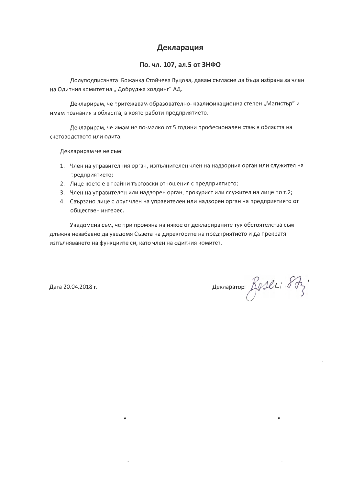## Декларация

#### По. чл. 107, ал.5 от ЗНФО

Долуподписаната Божанка Стойчева Вуцова, давам съгласие да бъда избрана за член на Одитния комитет на "Добруджа холдинг" АД.

Декларирам, че притежавам образователно- квалификационна степен "Магистър" и имам познания в областта, в която работи предприятието.

Декларирам, че имам не по-малко от 5 години професионален стаж в областта на счетоводството или одита.

Декларирам че не съм:

- 1. Член на управителния орган, изпълнителен член на надзорния орган или служител на предприятието;
- 2. Лице което е в трайни търговски отношения с предприятието;
- 3. Член на управителен или надзорен орган, прокурист или служител на лице по т.2;
- 4. Свързано лице с друг член на управителен или надзорен орган на предприятието от обществен интерес.

Уведомена съм, че при промяна на някое от декларираните тук обстоятелства съм длъжна незабавно да уведомя Съвета на директорите на предприятието и да прекратя изпълняването на функциите си, като член на одитния комитет.

Дата 20.04.2018 г.

ACKARDROP: ROSelli 87;